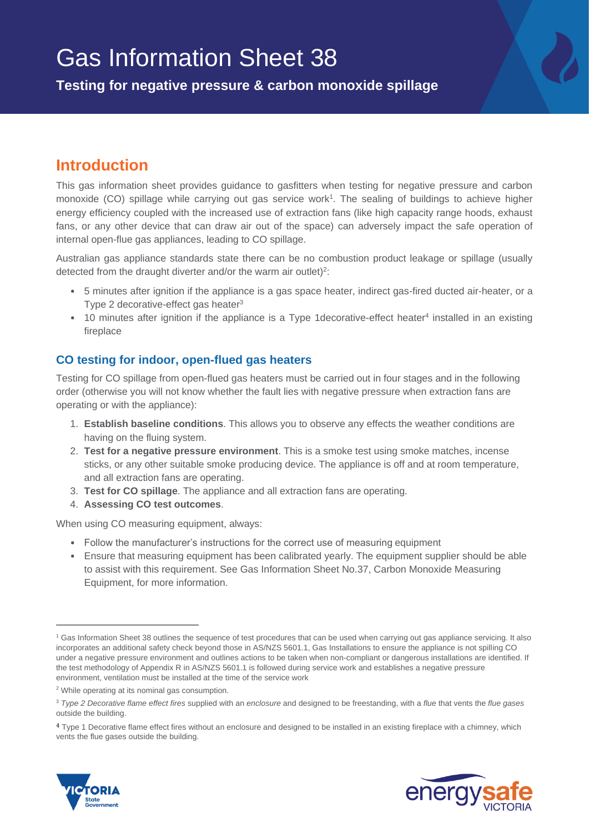# Gas Information Sheet 38

**Testing for negative pressure & carbon monoxide spillage**

## **Introduction**

This gas information sheet provides guidance to gasfitters when testing for negative pressure and carbon monoxide (CO) spillage while carrying out gas service work<sup>1</sup>. The sealing of buildings to achieve higher energy efficiency coupled with the increased use of extraction fans (like high capacity range hoods, exhaust fans, or any other device that can draw air out of the space) can adversely impact the safe operation of internal open-flue gas appliances, leading to CO spillage.

Australian gas appliance standards state there can be no combustion product leakage or spillage (usually detected from the draught diverter and/or the warm air outlet)<sup>2</sup>:

- 5 minutes after ignition if the appliance is a gas space heater, indirect gas-fired ducted air-heater, or a Type 2 decorative-effect gas heater $3$
- 10 minutes after ignition if the appliance is a Type 1 decorative-effect heater<sup>4</sup> installed in an existing fireplace

#### **CO testing for indoor, open-flued gas heaters**

Testing for CO spillage from open-flued gas heaters must be carried out in four stages and in the following order (otherwise you will not know whether the fault lies with negative pressure when extraction fans are operating or with the appliance):

- 1. **Establish baseline conditions**. This allows you to observe any effects the weather conditions are having on the fluing system.
- 2. **Test for a negative pressure environment**. This is a smoke test using smoke matches, incense sticks, or any other suitable smoke producing device. The appliance is off and at room temperature, and all extraction fans are operating.
- 3. **Test for CO spillage**. The appliance and all extraction fans are operating.
- 4. **Assessing CO test outcomes**.

When using CO measuring equipment, always:

- Follow the manufacturer's instructions for the correct use of measuring equipment
- Ensure that measuring equipment has been calibrated yearly. The equipment supplier should be able to assist with this requirement. See Gas Information Sheet No.37, Carbon Monoxide Measuring Equipment, for more information.

<sup>4</sup> Type 1 Decorative flame effect fires without an enclosure and designed to be installed in an existing fireplace with a chimney, which vents the flue gases outside the building.



 $\overline{a}$ 



<sup>1</sup> Gas Information Sheet 38 outlines the sequence of test procedures that can be used when carrying out gas appliance servicing. It also incorporates an additional safety check beyond those in AS/NZS 5601.1, Gas Installations to ensure the appliance is not spilling CO under a negative pressure environment and outlines actions to be taken when non-compliant or dangerous installations are identified. If the test methodology of Appendix R in AS/NZS 5601.1 is followed during service work and establishes a negative pressure environment, ventilation must be installed at the time of the service work

<sup>&</sup>lt;sup>2</sup> While operating at its nominal gas consumption.

<sup>3</sup> *Type 2 Decorative flame effect fires* supplied with an *enclosure* and designed to be freestanding, with a *flue* that vents the *flue gases*  outside the building.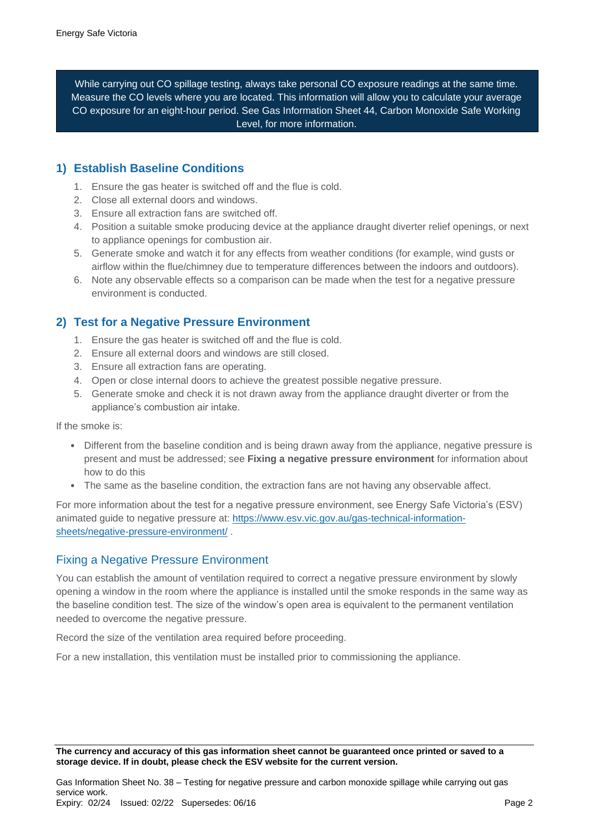While carrying out CO spillage testing, always take personal CO exposure readings at the same time. Measure the CO levels where you are located. This information will allow you to calculate your average CO exposure for an eight-hour period. See Gas Information Sheet 44, Carbon Monoxide Safe Working Level, for more information.

#### **1) Establish Baseline Conditions**

- 1. Ensure the gas heater is switched off and the flue is cold.
- 2. Close all external doors and windows.
- 3. Ensure all extraction fans are switched off.
- 4. Position a suitable smoke producing device at the appliance draught diverter relief openings, or next to appliance openings for combustion air.
- 5. Generate smoke and watch it for any effects from weather conditions (for example, wind gusts or airflow within the flue/chimney due to temperature differences between the indoors and outdoors).
- 6. Note any observable effects so a comparison can be made when the test for a negative pressure environment is conducted.

#### **2) Test for a Negative Pressure Environment**

- 1. Ensure the gas heater is switched off and the flue is cold.
- 2. Ensure all external doors and windows are still closed.
- 3. Ensure all extraction fans are operating.
- 4. Open or close internal doors to achieve the greatest possible negative pressure.
- 5. Generate smoke and check it is not drawn away from the appliance draught diverter or from the appliance's combustion air intake.

If the smoke is:

- Different from the baseline condition and is being drawn away from the appliance, negative pressure is present and must be addressed; see **Fixing a negative pressure environment** for information about how to do this
- The same as the baseline condition, the extraction fans are not having any observable affect.

For more information about the test for a negative pressure environment, see Energy Safe Victoria's (ESV) animated guide to negative pressure at: [https://www.esv.vic.gov.au/gas-technical-information](https://www.esv.vic.gov.au/gas-technical-information-%20sheets/negative-pressure-environment/)[sheets/negative-pressure-environment/](https://www.esv.vic.gov.au/gas-technical-information-%20sheets/negative-pressure-environment/) .

#### Fixing a Negative Pressure Environment

You can establish the amount of ventilation required to correct a negative pressure environment by slowly opening a window in the room where the appliance is installed until the smoke responds in the same way as the baseline condition test. The size of the window's open area is equivalent to the permanent ventilation needed to overcome the negative pressure.

Record the size of the ventilation area required before proceeding.

For a new installation, this ventilation must be installed prior to commissioning the appliance.

**The currency and accuracy of this gas information sheet cannot be guaranteed once printed or saved to a storage device. If in doubt, please check the ESV website for the current version.**

Gas Information Sheet No. 38 – Testing for negative pressure and carbon monoxide spillage while carrying out gas service work. Expiry: 02/24 Issued: 02/22 Supersedes: 06/16 Page 2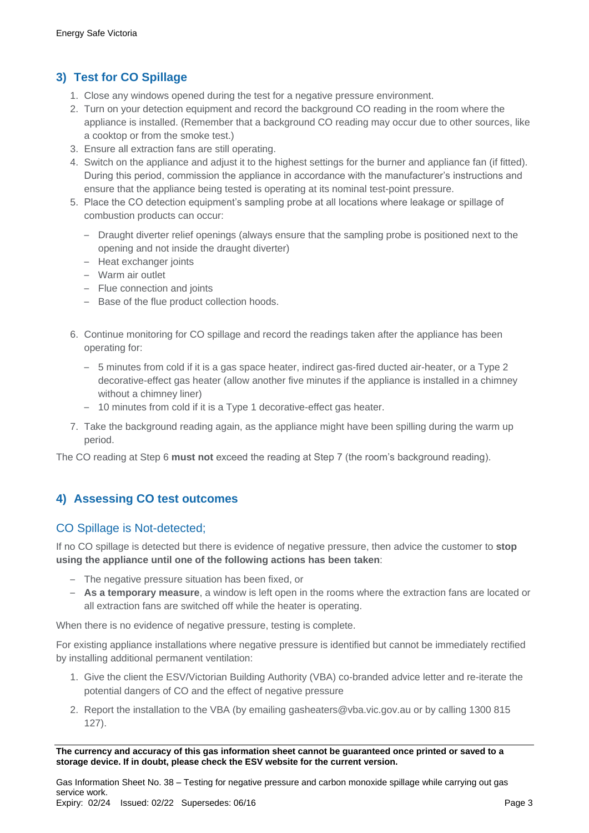## **3) Test for CO Spillage**

- 1. Close any windows opened during the test for a negative pressure environment.
- 2. Turn on your detection equipment and record the background CO reading in the room where the appliance is installed. (Remember that a background CO reading may occur due to other sources, like a cooktop or from the smoke test.)
- 3. Ensure all extraction fans are still operating.
- 4. Switch on the appliance and adjust it to the highest settings for the burner and appliance fan (if fitted). During this period, commission the appliance in accordance with the manufacturer's instructions and ensure that the appliance being tested is operating at its nominal test-point pressure.
- 5. Place the CO detection equipment's sampling probe at all locations where leakage or spillage of combustion products can occur:
	- Draught diverter relief openings (always ensure that the sampling probe is positioned next to the opening and not inside the draught diverter)
	- Heat exchanger joints
	- Warm air outlet
	- Flue connection and joints
	- Base of the flue product collection hoods.
- 6. Continue monitoring for CO spillage and record the readings taken after the appliance has been operating for:
	- 5 minutes from cold if it is a gas space heater, indirect gas-fired ducted air-heater, or a Type 2 decorative-effect gas heater (allow another five minutes if the appliance is installed in a chimney without a chimney liner)
	- 10 minutes from cold if it is a Type 1 decorative-effect gas heater.
- 7. Take the background reading again, as the appliance might have been spilling during the warm up period.

The CO reading at Step 6 **must not** exceed the reading at Step 7 (the room's background reading).

## **4) Assessing CO test outcomes**

#### CO Spillage is Not-detected;

If no CO spillage is detected but there is evidence of negative pressure, then advice the customer to **stop using the appliance until one of the following actions has been taken**:

- The negative pressure situation has been fixed, or
- **As a temporary measure**, a window is left open in the rooms where the extraction fans are located or all extraction fans are switched off while the heater is operating.

When there is no evidence of negative pressure, testing is complete.

For existing appliance installations where negative pressure is identified but cannot be immediately rectified by installing additional permanent ventilation:

- 1. Give the client the ESV/Victorian Building Authority (VBA) co-branded advice letter and re-iterate the potential dangers of CO and the effect of negative pressure
- 2. Report the installation to the VBA (by emailing [gasheaters@vba.vic.gov.au o](mailto:gasheaters@vba.vic.gov.au)r by calling 1300 815 127).

**The currency and accuracy of this gas information sheet cannot be guaranteed once printed or saved to a storage device. If in doubt, please check the ESV website for the current version.**

Gas Information Sheet No. 38 – Testing for negative pressure and carbon monoxide spillage while carrying out gas service work. Expiry: 02/24 Issued: 02/22 Supersedes: 06/16 Page 3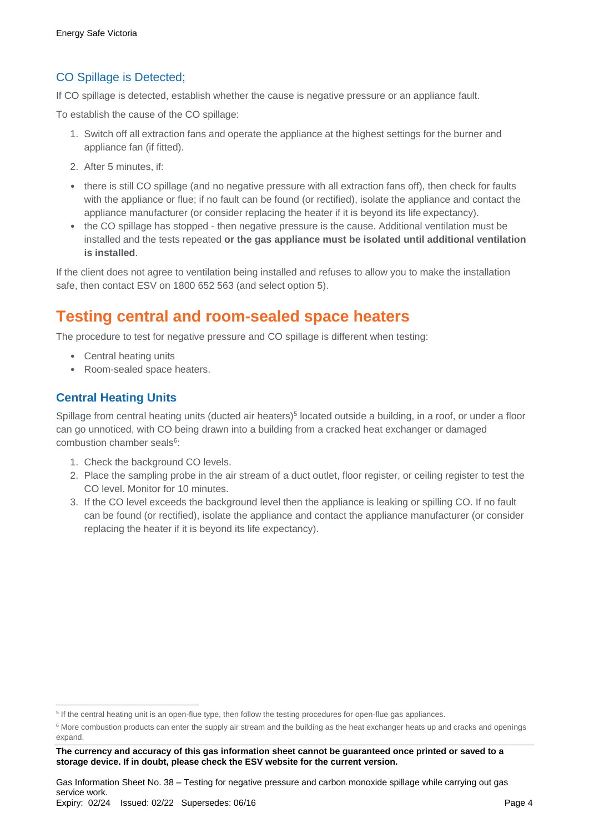## CO Spillage is Detected;

If CO spillage is detected, establish whether the cause is negative pressure or an appliance fault.

To establish the cause of the CO spillage:

- 1. Switch off all extraction fans and operate the appliance at the highest settings for the burner and appliance fan (if fitted).
- 2. After 5 minutes, if:
- there is still CO spillage (and no negative pressure with all extraction fans off), then check for faults with the appliance or flue; if no fault can be found (or rectified), isolate the appliance and contact the appliance manufacturer (or consider replacing the heater if it is beyond its life expectancy).
- the CO spillage has stopped then negative pressure is the cause. Additional ventilation must be installed and the tests repeated **or the gas appliance must be isolated until additional ventilation is installed**.

If the client does not agree to ventilation being installed and refuses to allow you to make the installation safe, then contact ESV on 1800 652 563 (and select option 5).

# **Testing central and room-sealed space heaters**

The procedure to test for negative pressure and CO spillage is different when testing:

- Central heating units
- Room-sealed space heaters.

#### **Central Heating Units**

 $\overline{a}$ 

Spillage from central heating units (ducted air heaters)<sup>5</sup> located outside a building, in a roof, or under a floor can go unnoticed, with CO being drawn into a building from a cracked heat exchanger or damaged combustion chamber seals<sup>6</sup>:

- 1. Check the background CO levels.
- 2. Place the sampling probe in the air stream of a duct outlet, floor register, or ceiling register to test the CO level. Monitor for 10 minutes.
- 3. If the CO level exceeds the background level then the appliance is leaking or spilling CO. If no fault can be found (or rectified), isolate the appliance and contact the appliance manufacturer (or consider replacing the heater if it is beyond its life expectancy).

<sup>&</sup>lt;sup>5</sup> If the central heating unit is an open-flue type, then follow the testing procedures for open-flue gas appliances.

<sup>&</sup>lt;sup>6</sup> More combustion products can enter the supply air stream and the building as the heat exchanger heats up and cracks and openings expand.

**The currency and accuracy of this gas information sheet cannot be guaranteed once printed or saved to a storage device. If in doubt, please check the ESV website for the current version.**